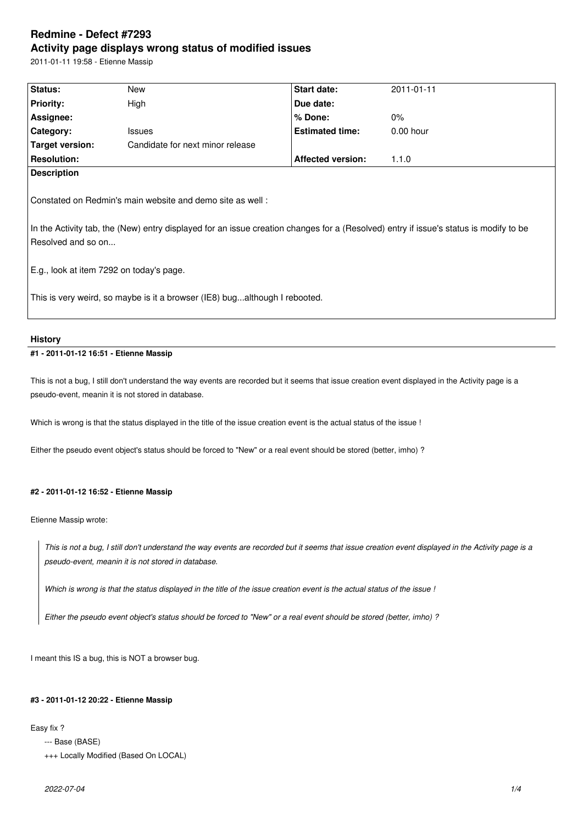# **Redmine - Defect #7293 Activity page displays wrong status of modified issues**

2011-01-11 19:58 - Etienne Massip

| Status:                                                                                                                                                                                                                  | New                              | Start date:              | 2011-01-11  |  |  |  |
|--------------------------------------------------------------------------------------------------------------------------------------------------------------------------------------------------------------------------|----------------------------------|--------------------------|-------------|--|--|--|
| <b>Priority:</b>                                                                                                                                                                                                         | High                             | Due date:                |             |  |  |  |
| Assignee:                                                                                                                                                                                                                |                                  | $%$ Done:                | $0\%$       |  |  |  |
| Category:                                                                                                                                                                                                                | <b>Issues</b>                    | <b>Estimated time:</b>   | $0.00$ hour |  |  |  |
| <b>Target version:</b>                                                                                                                                                                                                   | Candidate for next minor release |                          |             |  |  |  |
| <b>Resolution:</b>                                                                                                                                                                                                       |                                  | <b>Affected version:</b> | 1.1.0       |  |  |  |
| Constated on Redmin's main website and demo site as well:<br>In the Activity tab, the (New) entry displayed for an issue creation changes for a (Resolved) entry if issue's status is modify to be<br>Resolved and so on |                                  |                          |             |  |  |  |
| E.g., look at item 7292 on today's page.                                                                                                                                                                                 |                                  |                          |             |  |  |  |
| This is very weird, so maybe is it a browser (IE8) bugalthough I rebooted.                                                                                                                                               |                                  |                          |             |  |  |  |

#### **History**

# **#1 - 2011-01-12 16:51 - Etienne Massip**

This is not a bug, I still don't understand the way events are recorded but it seems that issue creation event displayed in the Activity page is a pseudo-event, meanin it is not stored in database.

Which is wrong is that the status displayed in the title of the issue creation event is the actual status of the issue !

Either the pseudo event object's status should be forced to "New" or a real event should be stored (better, imho) ?

### **#2 - 2011-01-12 16:52 - Etienne Massip**

Etienne Massip wrote:

*This is not a bug, I still don't understand the way events are recorded but it seems that issue creation event displayed in the Activity page is a pseudo-event, meanin it is not stored in database.*

*Which is wrong is that the status displayed in the title of the issue creation event is the actual status of the issue !*

*Either the pseudo event object's status should be forced to "New" or a real event should be stored (better, imho) ?*

I meant this IS a bug, this is NOT a browser bug.

### **#3 - 2011-01-12 20:22 - Etienne Massip**

Easy fix ?

- --- Base (BASE)
- +++ Locally Modified (Based On LOCAL)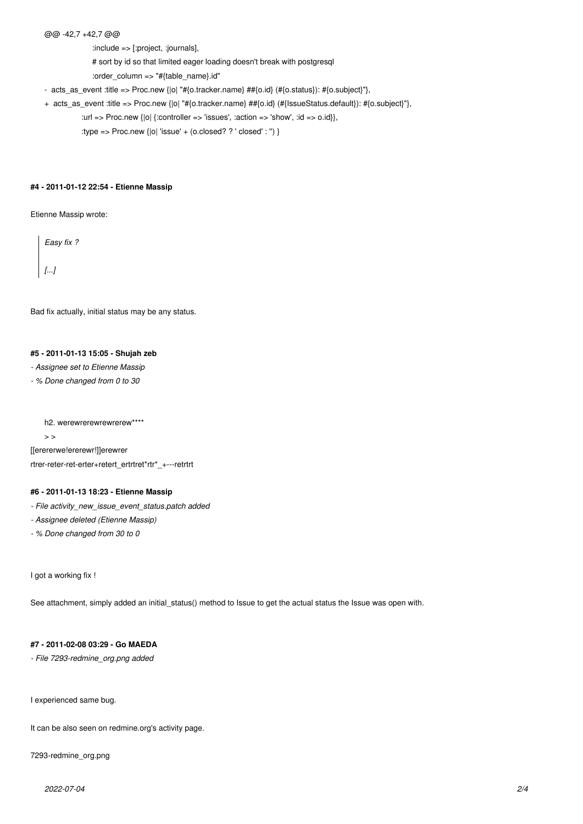@@ -42,7 +42,7 @@

:include => [:project, :journals],

# sort by id so that limited eager loading doesn't break with postgresql

:order\_column => "#{table\_name}.id"

- acts\_as\_event :title => Proc.new {|o| "#{o.tracker.name} ##{o.id} (#{o.status}): #{o.subject}"},

+ acts\_as\_event :title => Proc.new {|o| "#{o.tracker.name} ##{o.id} (#{IssueStatus.default}): #{o.subject}"},

:url => Proc.new  $\{|o|$  {:controller => 'issues', :action => 'show', :id => o.id}},

:type => Proc.new  $\{|o|$  'issue' + (o.closed? ? ' closed' : ") }

#### **#4 - 2011-01-12 22:54 - Etienne Massip**

Etienne Massip wrote:

*Easy fix ? [...]*

Bad fix actually, initial status may be any status.

#### **#5 - 2011-01-13 15:05 - Shujah zeb**

*- Assignee set to Etienne Massip*

*- % Done changed from 0 to 30*

h2. werewrerewrewrerew\*\*\*\*

 $>$ [[erererwe!ererewr!]]erewrer

rtrer-reter-ret-erter+retert\_ertrtret\*rtr\*\_+---retrtrt

### **#6 - 2011-01-13 18:23 - Etienne Massip**

*- File activity\_new\_issue\_event\_status.patch added*

*- Assignee deleted (Etienne Massip)*

*- % Done changed from 30 to 0*

I got a working fix !

See attachment, simply added an initial\_status() method to Issue to get the actual status the Issue was open with.

### **#7 - 2011-02-08 03:29 - Go MAEDA**

*- File 7293-redmine\_org.png added*

I experienced same bug.

It can be also seen on redmine.org's activity page.

7293-redmine\_org.png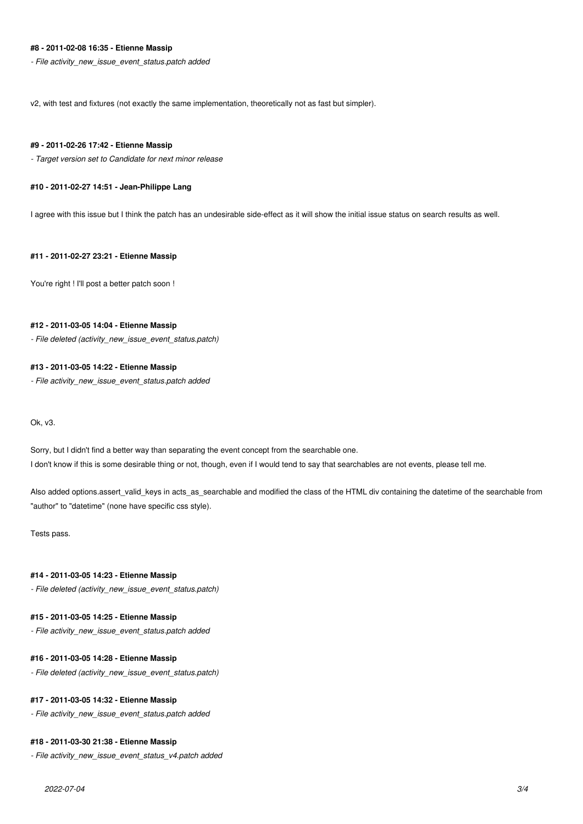# **#8 - 2011-02-08 16:35 - Etienne Massip**

*- File activity\_new\_issue\_event\_status.patch added*

v2, with test and fixtures (not exactly the same implementation, theoretically not as fast but simpler).

#### **#9 - 2011-02-26 17:42 - Etienne Massip**

*- Target version set to Candidate for next minor release*

### **#10 - 2011-02-27 14:51 - Jean-Philippe Lang**

I agree with this issue but I think the patch has an undesirable side-effect as it will show the initial issue status on search results as well.

#### **#11 - 2011-02-27 23:21 - Etienne Massip**

You're right ! I'll post a better patch soon !

#### **#12 - 2011-03-05 14:04 - Etienne Massip**

*- File deleted (activity\_new\_issue\_event\_status.patch)*

#### **#13 - 2011-03-05 14:22 - Etienne Massip**

*- File activity\_new\_issue\_event\_status.patch added*

Ok, v3.

Sorry, but I didn't find a better way than separating the event concept from the searchable one. I don't know if this is some desirable thing or not, though, even if I would tend to say that searchables are not events, please tell me.

Also added options.assert valid keys in acts as searchable and modified the class of the HTML div containing the datetime of the searchable from "author" to "datetime" (none have specific css style).

Tests pass.

#### **#14 - 2011-03-05 14:23 - Etienne Massip**

*- File deleted (activity\_new\_issue\_event\_status.patch)*

### **#15 - 2011-03-05 14:25 - Etienne Massip**

*- File activity\_new\_issue\_event\_status.patch added*

#### **#16 - 2011-03-05 14:28 - Etienne Massip**

*- File deleted (activity\_new\_issue\_event\_status.patch)*

### **#17 - 2011-03-05 14:32 - Etienne Massip**

*- File activity\_new\_issue\_event\_status.patch added*

#### **#18 - 2011-03-30 21:38 - Etienne Massip**

*- File activity\_new\_issue\_event\_status\_v4.patch added*